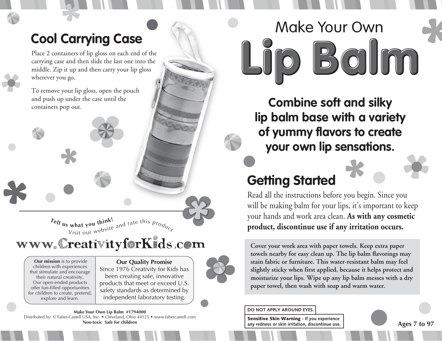## **Cool Carrying Case**

Place 2 containers of lip gloss on each end of the carrying case and then slide the last one into the middle. Zip it up and then carry your lip gloss wherever you go.

To remove your lip gloss, open the pouch and push up under the case until the containers pop out.

> $T_{e}$ *l*<sub>**l**</sub>  $\boldsymbol{u}_{s}$  what you think! **s what you think:**<br>Visit our website and rate this  $p_{r o_{Q'_{C_{\zeta}}}}$

### www.CreativityforKids.com

 **Our mission** is to provide children with experiences that stimulate and encourage their natural creativity. Our open-ended products offer fun-filled opportunities for children to create, pretend, explore and learn.

#### **Our Quality Promise** Since 1976 Creativity for Kids has been creating safe, innovative products that meet or exceed U.S. safety standards as determined by independent laboratory testing.



# Lip Balm Make Your Own

**Combine soft and silky lip balm base with a variety of yummy flavors to create your own lip sensations.**

#### **Getting Started**

Read all the instructions before you begin. Since you will be making balm for your lips, it's important to keep your hands and work area clean. **As with any cosmetic product, discontinue use if any irritation occurs.** 

**Cover your work area with paper towels. Keep extra paper towels nearby for easy clean up. The lip balm flavorings may stain fabric or furniture. This water-resistant balm may feel slightly sticky when first applied, because it helps protect and moisturize your lips. Wipe up any lip balm messes with a dry paper towel, then wash with soap and warm water.** 

Sensitive Skin Warning **- If you experience any redness or skin irritation, discontinue use.**

**Ages 7 to 97**